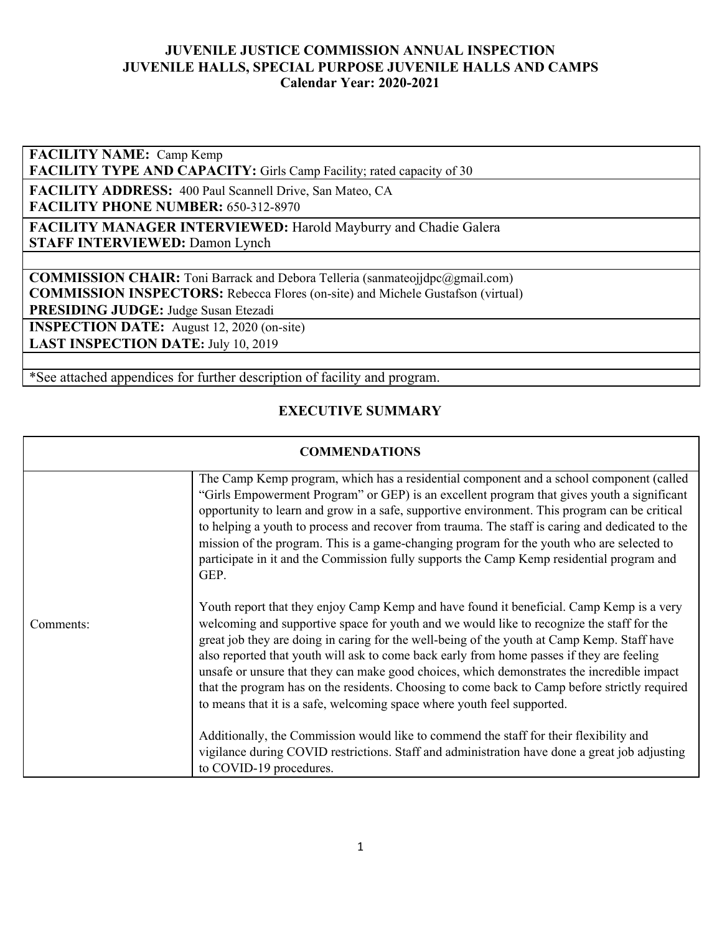**FACILITY NAME:** Camp Kemp

FACILITY TYPE AND CAPACITY: Girls Camp Facility; rated capacity of 30

**FACILITY ADDRESS:** 400 Paul Scannell Drive, San Mateo, CA **FACILITY PHONE NUMBER:** 650-312-8970

**FACILITY MANAGER INTERVIEWED:** Harold Mayburry and Chadie Galera **STAFF INTERVIEWED:** Damon Lynch

**COMMISSION CHAIR:** Toni Barrack and Debora Telleria (sanmateojjdpc@gmail.com) **COMMISSION INSPECTORS:** Rebecca Flores (on-site) and Michele Gustafson (virtual)

**PRESIDING JUDGE:** Judge Susan Etezadi

**INSPECTION DATE:** August 12, 2020 (on-site) **LAST INSPECTION DATE:** July 10, 2019

\*See attached appendices for further description of facility and program.

## **EXECUTIVE SUMMARY**

#### **COMMENDATIONS**

|           | The Camp Kemp program, which has a residential component and a school component (called<br>"Girls Empowerment Program" or GEP) is an excellent program that gives youth a significant<br>opportunity to learn and grow in a safe, supportive environment. This program can be critical<br>to helping a youth to process and recover from trauma. The staff is caring and dedicated to the<br>mission of the program. This is a game-changing program for the youth who are selected to<br>participate in it and the Commission fully supports the Camp Kemp residential program and<br>GEP.                                                                 |
|-----------|-------------------------------------------------------------------------------------------------------------------------------------------------------------------------------------------------------------------------------------------------------------------------------------------------------------------------------------------------------------------------------------------------------------------------------------------------------------------------------------------------------------------------------------------------------------------------------------------------------------------------------------------------------------|
| Comments: | Youth report that they enjoy Camp Kemp and have found it beneficial. Camp Kemp is a very<br>welcoming and supportive space for youth and we would like to recognize the staff for the<br>great job they are doing in caring for the well-being of the youth at Camp Kemp. Staff have<br>also reported that youth will ask to come back early from home passes if they are feeling<br>unsafe or unsure that they can make good choices, which demonstrates the incredible impact<br>that the program has on the residents. Choosing to come back to Camp before strictly required<br>to means that it is a safe, welcoming space where youth feel supported. |
|           | Additionally, the Commission would like to commend the staff for their flexibility and<br>vigilance during COVID restrictions. Staff and administration have done a great job adjusting<br>to COVID-19 procedures.                                                                                                                                                                                                                                                                                                                                                                                                                                          |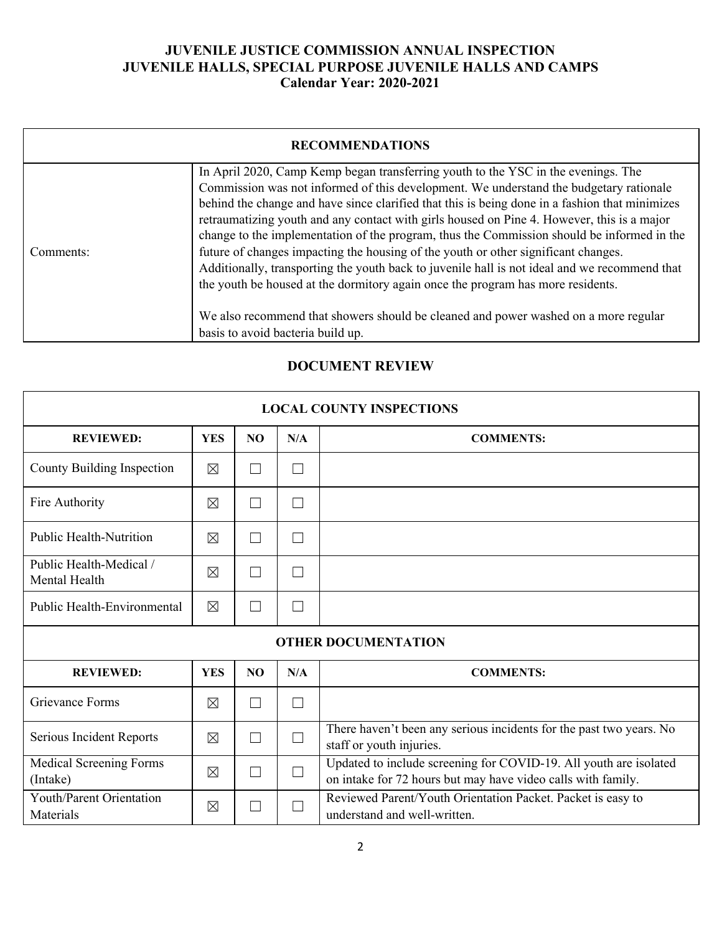|           | <b>RECOMMENDATIONS</b>                                                                                                                                                                                                                                                                                                                                                                                                                                                                                                                                                                                                                                                                                                                                                                                                                                                          |
|-----------|---------------------------------------------------------------------------------------------------------------------------------------------------------------------------------------------------------------------------------------------------------------------------------------------------------------------------------------------------------------------------------------------------------------------------------------------------------------------------------------------------------------------------------------------------------------------------------------------------------------------------------------------------------------------------------------------------------------------------------------------------------------------------------------------------------------------------------------------------------------------------------|
| Comments: | In April 2020, Camp Kemp began transferring youth to the YSC in the evenings. The<br>Commission was not informed of this development. We understand the budgetary rationale<br>behind the change and have since clarified that this is being done in a fashion that minimizes<br>retraumatizing youth and any contact with girls housed on Pine 4. However, this is a major<br>change to the implementation of the program, thus the Commission should be informed in the<br>future of changes impacting the housing of the youth or other significant changes.<br>Additionally, transporting the youth back to juvenile hall is not ideal and we recommend that<br>the youth be housed at the dormitory again once the program has more residents.<br>We also recommend that showers should be cleaned and power washed on a more regular<br>basis to avoid bacteria build up. |

# **DOCUMENT REVIEW**

| <b>LOCAL COUNTY INSPECTIONS</b>          |             |                |        |                                                                                                                                   |  |  |
|------------------------------------------|-------------|----------------|--------|-----------------------------------------------------------------------------------------------------------------------------------|--|--|
| <b>REVIEWED:</b>                         | <b>YES</b>  | N <sub>O</sub> | N/A    | <b>COMMENTS:</b>                                                                                                                  |  |  |
| County Building Inspection               | $\boxtimes$ | $\mathcal{L}$  | $\Box$ |                                                                                                                                   |  |  |
| Fire Authority                           | $\boxtimes$ | $\mathsf{L}$   | $\Box$ |                                                                                                                                   |  |  |
| <b>Public Health-Nutrition</b>           | $\boxtimes$ |                | $\Box$ |                                                                                                                                   |  |  |
| Public Health-Medical /<br>Mental Health | $\boxtimes$ | $\mathsf{L}$   | $\Box$ |                                                                                                                                   |  |  |
| <b>Public Health-Environmental</b>       | $\times$    | $\mathsf{L}$   | П      |                                                                                                                                   |  |  |
|                                          |             |                |        | <b>OTHER DOCUMENTATION</b>                                                                                                        |  |  |
| <b>REVIEWED:</b>                         | <b>YES</b>  | N <sub>O</sub> | N/A    | <b>COMMENTS:</b>                                                                                                                  |  |  |
| Grievance Forms                          | $\boxtimes$ | $\mathsf{L}$   | $\Box$ |                                                                                                                                   |  |  |
| Serious Incident Reports                 | $\boxtimes$ | H              | $\Box$ | There haven't been any serious incidents for the past two years. No<br>staff or youth injuries.                                   |  |  |
| Medical Screening Forms<br>(Intake)      | $\boxtimes$ | $\mathsf{L}$   | $\Box$ | Updated to include screening for COVID-19. All youth are isolated<br>on intake for 72 hours but may have video calls with family. |  |  |
| Youth/Parent Orientation<br>Materials    | ⊠           | $\mathsf{L}$   | $\Box$ | Reviewed Parent/Youth Orientation Packet. Packet is easy to<br>understand and well-written.                                       |  |  |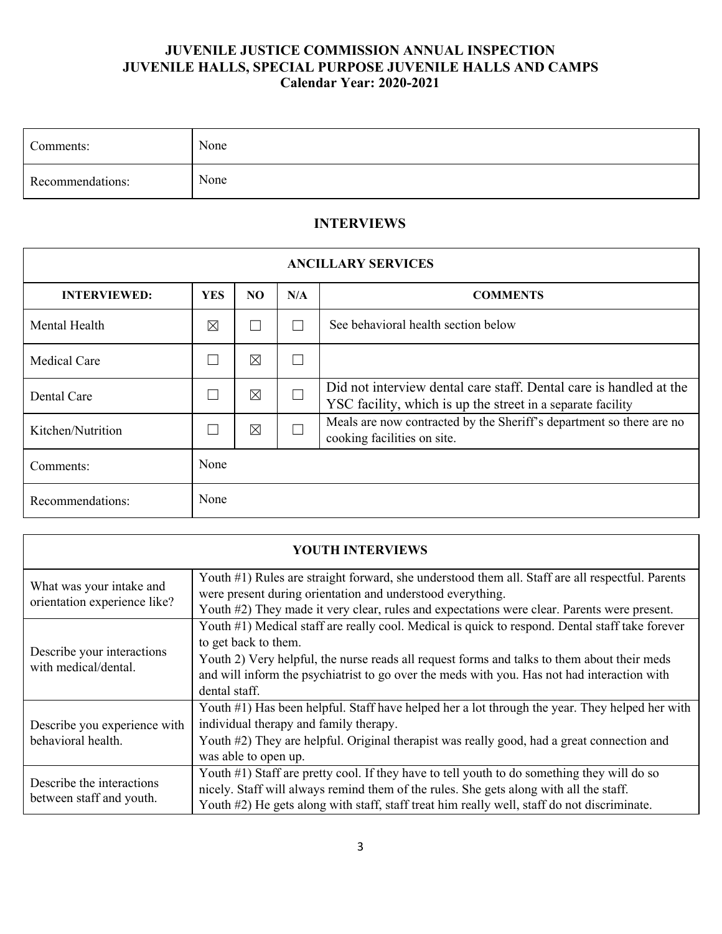| Comments:        | None |
|------------------|------|
| Recommendations: | None |

# **INTERVIEWS**

| <b>ANCILLARY SERVICES</b> |             |             |        |                                                                                                                                   |  |  |  |
|---------------------------|-------------|-------------|--------|-----------------------------------------------------------------------------------------------------------------------------------|--|--|--|
| <b>INTERVIEWED:</b>       | <b>YES</b>  | NO.         | N/A    | <b>COMMENTS</b>                                                                                                                   |  |  |  |
| Mental Health             | $\boxtimes$ | П           | $\Box$ | See behavioral health section below                                                                                               |  |  |  |
| <b>Medical Care</b>       |             | $\boxtimes$ | П      |                                                                                                                                   |  |  |  |
| Dental Care               |             | $\boxtimes$ | П      | Did not interview dental care staff. Dental care is handled at the<br>YSC facility, which is up the street in a separate facility |  |  |  |
| Kitchen/Nutrition         |             | $\boxtimes$ | П      | Meals are now contracted by the Sheriff's department so there are no<br>cooking facilities on site.                               |  |  |  |
| Comments:                 | None        |             |        |                                                                                                                                   |  |  |  |
| Recommendations:          | None        |             |        |                                                                                                                                   |  |  |  |

| <b>YOUTH INTERVIEWS</b>                                  |                                                                                                                                                                                                                                                                                                                                        |  |  |  |  |  |  |  |
|----------------------------------------------------------|----------------------------------------------------------------------------------------------------------------------------------------------------------------------------------------------------------------------------------------------------------------------------------------------------------------------------------------|--|--|--|--|--|--|--|
| What was your intake and<br>orientation experience like? | Youth #1) Rules are straight forward, she understood them all. Staff are all respectful. Parents<br>were present during orientation and understood everything.<br>Youth #2) They made it very clear, rules and expectations were clear. Parents were present.                                                                          |  |  |  |  |  |  |  |
| Describe your interactions<br>with medical/dental.       | Youth #1) Medical staff are really cool. Medical is quick to respond. Dental staff take forever<br>to get back to them.<br>Youth 2) Very helpful, the nurse reads all request forms and talks to them about their meds<br>and will inform the psychiatrist to go over the meds with you. Has not had interaction with<br>dental staff. |  |  |  |  |  |  |  |
| Describe you experience with<br>behavioral health.       | Youth #1) Has been helpful. Staff have helped her a lot through the year. They helped her with<br>individual therapy and family therapy.<br>Youth #2) They are helpful. Original therapist was really good, had a great connection and<br>was able to open up.                                                                         |  |  |  |  |  |  |  |
| Describe the interactions<br>between staff and youth.    | Youth #1) Staff are pretty cool. If they have to tell youth to do something they will do so<br>nicely. Staff will always remind them of the rules. She gets along with all the staff.<br>Youth #2) He gets along with staff, staff treat him really well, staff do not discriminate.                                                   |  |  |  |  |  |  |  |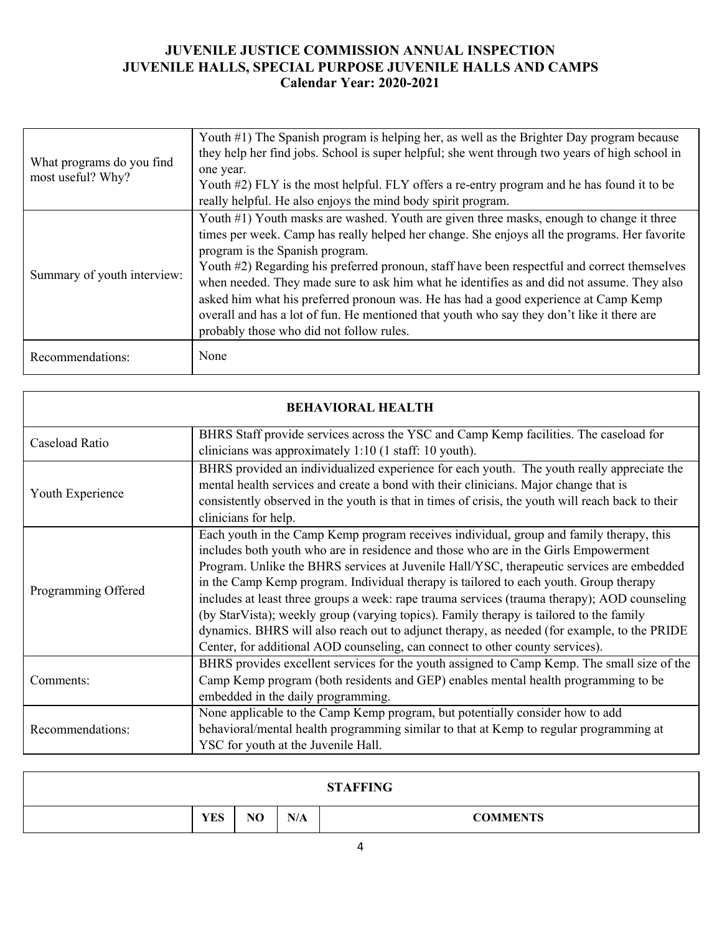| What programs do you find<br>most useful? Why? | Youth #1) The Spanish program is helping her, as well as the Brighter Day program because<br>they help her find jobs. School is super helpful; she went through two years of high school in<br>one year.<br>Youth #2) FLY is the most helpful. FLY offers a re-entry program and he has found it to be<br>really helpful. He also enjoys the mind body spirit program.                                                                                                                                                                                                                                                                                     |
|------------------------------------------------|------------------------------------------------------------------------------------------------------------------------------------------------------------------------------------------------------------------------------------------------------------------------------------------------------------------------------------------------------------------------------------------------------------------------------------------------------------------------------------------------------------------------------------------------------------------------------------------------------------------------------------------------------------|
| Summary of youth interview:                    | Youth #1) Youth masks are washed. Youth are given three masks, enough to change it three<br>times per week. Camp has really helped her change. She enjoys all the programs. Her favorite<br>program is the Spanish program.<br>Youth #2) Regarding his preferred pronoun, staff have been respectful and correct themselves<br>when needed. They made sure to ask him what he identifies as and did not assume. They also<br>asked him what his preferred pronoun was. He has had a good experience at Camp Kemp<br>overall and has a lot of fun. He mentioned that youth who say they don't like it there are<br>probably those who did not follow rules. |
| Recommendations:                               | None                                                                                                                                                                                                                                                                                                                                                                                                                                                                                                                                                                                                                                                       |

| <b>BEHAVIORAL HEALTH</b> |                                                                                                                                                                                                                                                                                                                                                                                                                                                                                                                                                                                                                                                                                                                                                 |  |  |  |  |  |  |  |
|--------------------------|-------------------------------------------------------------------------------------------------------------------------------------------------------------------------------------------------------------------------------------------------------------------------------------------------------------------------------------------------------------------------------------------------------------------------------------------------------------------------------------------------------------------------------------------------------------------------------------------------------------------------------------------------------------------------------------------------------------------------------------------------|--|--|--|--|--|--|--|
| Caseload Ratio           | BHRS Staff provide services across the YSC and Camp Kemp facilities. The caseload for<br>clinicians was approximately 1:10 (1 staff: 10 youth).                                                                                                                                                                                                                                                                                                                                                                                                                                                                                                                                                                                                 |  |  |  |  |  |  |  |
| Youth Experience         | BHRS provided an individualized experience for each youth. The youth really appreciate the<br>mental health services and create a bond with their clinicians. Major change that is<br>consistently observed in the youth is that in times of crisis, the youth will reach back to their<br>clinicians for help.                                                                                                                                                                                                                                                                                                                                                                                                                                 |  |  |  |  |  |  |  |
| Programming Offered      | Each youth in the Camp Kemp program receives individual, group and family therapy, this<br>includes both youth who are in residence and those who are in the Girls Empowerment<br>Program. Unlike the BHRS services at Juvenile Hall/YSC, therapeutic services are embedded<br>in the Camp Kemp program. Individual therapy is tailored to each youth. Group therapy<br>includes at least three groups a week: rape trauma services (trauma therapy); AOD counseling<br>(by StarVista); weekly group (varying topics). Family therapy is tailored to the family<br>dynamics. BHRS will also reach out to adjunct therapy, as needed (for example, to the PRIDE<br>Center, for additional AOD counseling, can connect to other county services). |  |  |  |  |  |  |  |
| Comments:                | BHRS provides excellent services for the youth assigned to Camp Kemp. The small size of the<br>Camp Kemp program (both residents and GEP) enables mental health programming to be<br>embedded in the daily programming.                                                                                                                                                                                                                                                                                                                                                                                                                                                                                                                         |  |  |  |  |  |  |  |
| Recommendations:         | None applicable to the Camp Kemp program, but potentially consider how to add<br>behavioral/mental health programming similar to that at Kemp to regular programming at<br>YSC for youth at the Juvenile Hall.                                                                                                                                                                                                                                                                                                                                                                                                                                                                                                                                  |  |  |  |  |  |  |  |

|            |    |     | <b>STAFFING</b> |
|------------|----|-----|-----------------|
| <b>YES</b> | NO | N/A | <b>COMMENTS</b> |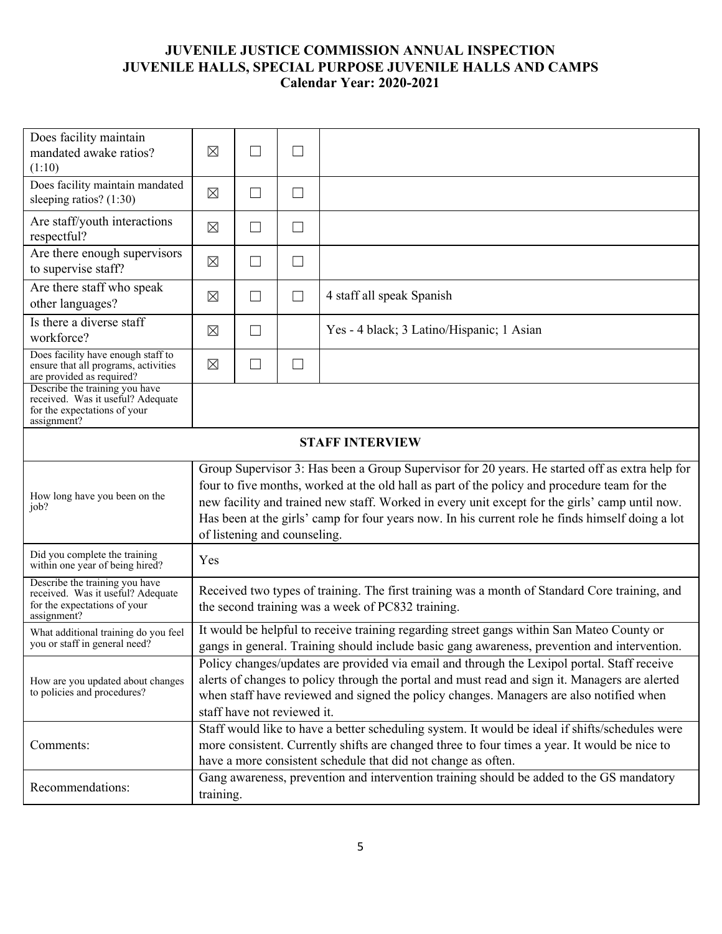| Does facility maintain<br>mandated awake ratios?<br>(1:10)                                                         | $\boxtimes$                                                                                                                                                                                                                                                                                                                                                                                                                          | $\vert \ \ \vert$        | $\Box$ |                                           |  |  |  |
|--------------------------------------------------------------------------------------------------------------------|--------------------------------------------------------------------------------------------------------------------------------------------------------------------------------------------------------------------------------------------------------------------------------------------------------------------------------------------------------------------------------------------------------------------------------------|--------------------------|--------|-------------------------------------------|--|--|--|
| Does facility maintain mandated<br>sleeping ratios? $(1:30)$                                                       | $\boxtimes$                                                                                                                                                                                                                                                                                                                                                                                                                          | $\Box$                   | $\Box$ |                                           |  |  |  |
| Are staff/youth interactions<br>respectful?                                                                        | $\boxtimes$                                                                                                                                                                                                                                                                                                                                                                                                                          | $\Box$                   | $\Box$ |                                           |  |  |  |
| Are there enough supervisors<br>to supervise staff?                                                                | $\boxtimes$                                                                                                                                                                                                                                                                                                                                                                                                                          | $\vert \ \ \vert$        | $\Box$ |                                           |  |  |  |
| Are there staff who speak<br>other languages?                                                                      | $\boxtimes$                                                                                                                                                                                                                                                                                                                                                                                                                          | ⊔                        | $\Box$ | 4 staff all speak Spanish                 |  |  |  |
| Is there a diverse staff<br>workforce?                                                                             | $\boxtimes$                                                                                                                                                                                                                                                                                                                                                                                                                          | П                        |        | Yes - 4 black; 3 Latino/Hispanic; 1 Asian |  |  |  |
| Does facility have enough staff to<br>ensure that all programs, activities<br>are provided as required?            | $\boxtimes$                                                                                                                                                                                                                                                                                                                                                                                                                          | $\overline{\phantom{a}}$ | $\Box$ |                                           |  |  |  |
| Describe the training you have<br>received. Was it useful? Adequate<br>for the expectations of your<br>assignment? |                                                                                                                                                                                                                                                                                                                                                                                                                                      |                          |        |                                           |  |  |  |
| <b>STAFF INTERVIEW</b>                                                                                             |                                                                                                                                                                                                                                                                                                                                                                                                                                      |                          |        |                                           |  |  |  |
| How long have you been on the<br>job?                                                                              | Group Supervisor 3: Has been a Group Supervisor for 20 years. He started off as extra help for<br>four to five months, worked at the old hall as part of the policy and procedure team for the<br>new facility and trained new staff. Worked in every unit except for the girls' camp until now.<br>Has been at the girls' camp for four years now. In his current role he finds himself doing a lot<br>of listening and counseling. |                          |        |                                           |  |  |  |
| Did you complete the training<br>within one year of being hired?                                                   | Yes                                                                                                                                                                                                                                                                                                                                                                                                                                  |                          |        |                                           |  |  |  |
| Describe the training you have<br>received. Was it useful? Adequate<br>for the expectations of your<br>assignment? | Received two types of training. The first training was a month of Standard Core training, and<br>the second training was a week of PC832 training.                                                                                                                                                                                                                                                                                   |                          |        |                                           |  |  |  |
| What additional training do you feel<br>you or staff in general need?                                              | It would be helpful to receive training regarding street gangs within San Mateo County or<br>gangs in general. Training should include basic gang awareness, prevention and intervention.                                                                                                                                                                                                                                            |                          |        |                                           |  |  |  |
| How are you updated about changes<br>to policies and procedures?                                                   | Policy changes/updates are provided via email and through the Lexipol portal. Staff receive<br>alerts of changes to policy through the portal and must read and sign it. Managers are alerted<br>when staff have reviewed and signed the policy changes. Managers are also notified when<br>staff have not reviewed it.                                                                                                              |                          |        |                                           |  |  |  |
| Comments:                                                                                                          | Staff would like to have a better scheduling system. It would be ideal if shifts/schedules were<br>more consistent. Currently shifts are changed three to four times a year. It would be nice to<br>have a more consistent schedule that did not change as often.                                                                                                                                                                    |                          |        |                                           |  |  |  |
| Recommendations:                                                                                                   | Gang awareness, prevention and intervention training should be added to the GS mandatory<br>training.                                                                                                                                                                                                                                                                                                                                |                          |        |                                           |  |  |  |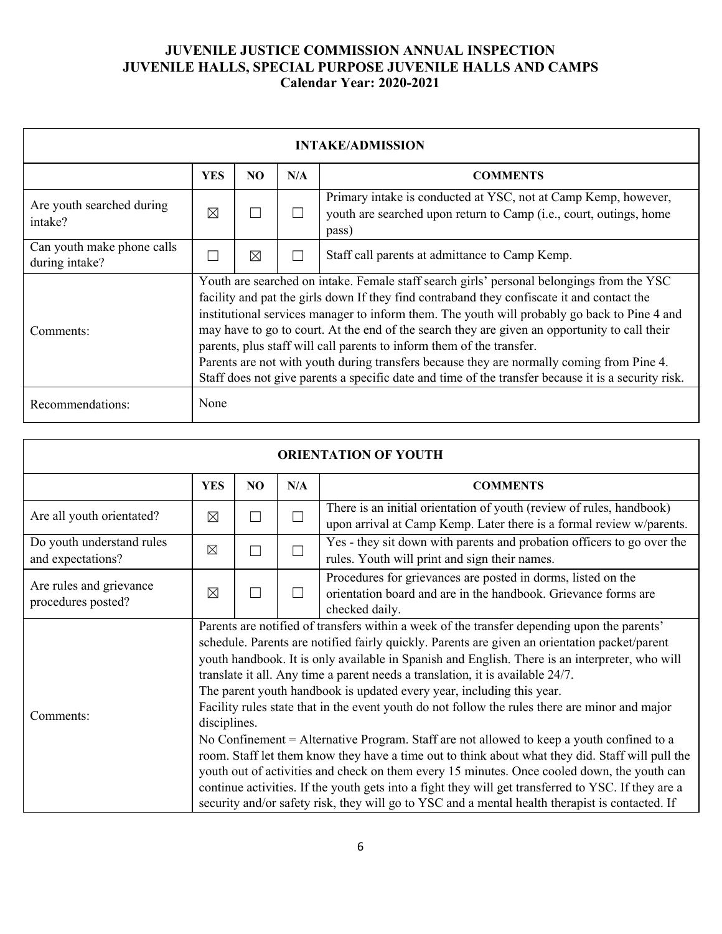| <b>INTAKE/ADMISSION</b>                      |                                                                                                                                                                                                                                                                                                                                                                                                                                                                                                                                                                                                                                                                       |          |     |                                                                                                                                               |  |  |  |
|----------------------------------------------|-----------------------------------------------------------------------------------------------------------------------------------------------------------------------------------------------------------------------------------------------------------------------------------------------------------------------------------------------------------------------------------------------------------------------------------------------------------------------------------------------------------------------------------------------------------------------------------------------------------------------------------------------------------------------|----------|-----|-----------------------------------------------------------------------------------------------------------------------------------------------|--|--|--|
|                                              | <b>YES</b>                                                                                                                                                                                                                                                                                                                                                                                                                                                                                                                                                                                                                                                            | NO.      | N/A | <b>COMMENTS</b>                                                                                                                               |  |  |  |
| Are youth searched during<br>intake?         | ⊠                                                                                                                                                                                                                                                                                                                                                                                                                                                                                                                                                                                                                                                                     |          |     | Primary intake is conducted at YSC, not at Camp Kemp, however,<br>youth are searched upon return to Camp (i.e., court, outings, home<br>pass) |  |  |  |
| Can youth make phone calls<br>during intake? |                                                                                                                                                                                                                                                                                                                                                                                                                                                                                                                                                                                                                                                                       | $\times$ |     | Staff call parents at admittance to Camp Kemp.                                                                                                |  |  |  |
| Comments:                                    | Youth are searched on intake. Female staff search girls' personal belongings from the YSC<br>facility and pat the girls down If they find contraband they confiscate it and contact the<br>institutional services manager to inform them. The youth will probably go back to Pine 4 and<br>may have to go to court. At the end of the search they are given an opportunity to call their<br>parents, plus staff will call parents to inform them of the transfer.<br>Parents are not with youth during transfers because they are normally coming from Pine 4.<br>Staff does not give parents a specific date and time of the transfer because it is a security risk. |          |     |                                                                                                                                               |  |  |  |
| Recommendations:                             | None                                                                                                                                                                                                                                                                                                                                                                                                                                                                                                                                                                                                                                                                  |          |     |                                                                                                                                               |  |  |  |

| <b>ORIENTATION OF YOUTH</b>                    |                                                                                                                                                                                                                                                                                                                                                                                                                                                                                                                                                                                                                                                                                                                                                                                                                                                                                                                                                                                    |     |        |                                                                                                                                                  |  |
|------------------------------------------------|------------------------------------------------------------------------------------------------------------------------------------------------------------------------------------------------------------------------------------------------------------------------------------------------------------------------------------------------------------------------------------------------------------------------------------------------------------------------------------------------------------------------------------------------------------------------------------------------------------------------------------------------------------------------------------------------------------------------------------------------------------------------------------------------------------------------------------------------------------------------------------------------------------------------------------------------------------------------------------|-----|--------|--------------------------------------------------------------------------------------------------------------------------------------------------|--|
|                                                | <b>YES</b>                                                                                                                                                                                                                                                                                                                                                                                                                                                                                                                                                                                                                                                                                                                                                                                                                                                                                                                                                                         | NO. | N/A    | <b>COMMENTS</b>                                                                                                                                  |  |
| Are all youth orientated?                      | ⊠                                                                                                                                                                                                                                                                                                                                                                                                                                                                                                                                                                                                                                                                                                                                                                                                                                                                                                                                                                                  | П   | $\Box$ | There is an initial orientation of youth (review of rules, handbook)<br>upon arrival at Camp Kemp. Later there is a formal review w/parents.     |  |
| Do youth understand rules<br>and expectations? | ⊠                                                                                                                                                                                                                                                                                                                                                                                                                                                                                                                                                                                                                                                                                                                                                                                                                                                                                                                                                                                  | П   | $\Box$ | Yes - they sit down with parents and probation officers to go over the<br>rules. Youth will print and sign their names.                          |  |
| Are rules and grievance<br>procedures posted?  | $\boxtimes$                                                                                                                                                                                                                                                                                                                                                                                                                                                                                                                                                                                                                                                                                                                                                                                                                                                                                                                                                                        | П   | □      | Procedures for grievances are posted in dorms, listed on the<br>orientation board and are in the handbook. Grievance forms are<br>checked daily. |  |
| Comments:                                      | Parents are notified of transfers within a week of the transfer depending upon the parents'<br>schedule. Parents are notified fairly quickly. Parents are given an orientation packet/parent<br>youth handbook. It is only available in Spanish and English. There is an interpreter, who will<br>translate it all. Any time a parent needs a translation, it is available 24/7.<br>The parent youth handbook is updated every year, including this year.<br>Facility rules state that in the event youth do not follow the rules there are minor and major<br>disciplines.<br>No Confinement = Alternative Program. Staff are not allowed to keep a youth confined to a<br>room. Staff let them know they have a time out to think about what they did. Staff will pull the<br>youth out of activities and check on them every 15 minutes. Once cooled down, the youth can<br>continue activities. If the youth gets into a fight they will get transferred to YSC. If they are a |     |        |                                                                                                                                                  |  |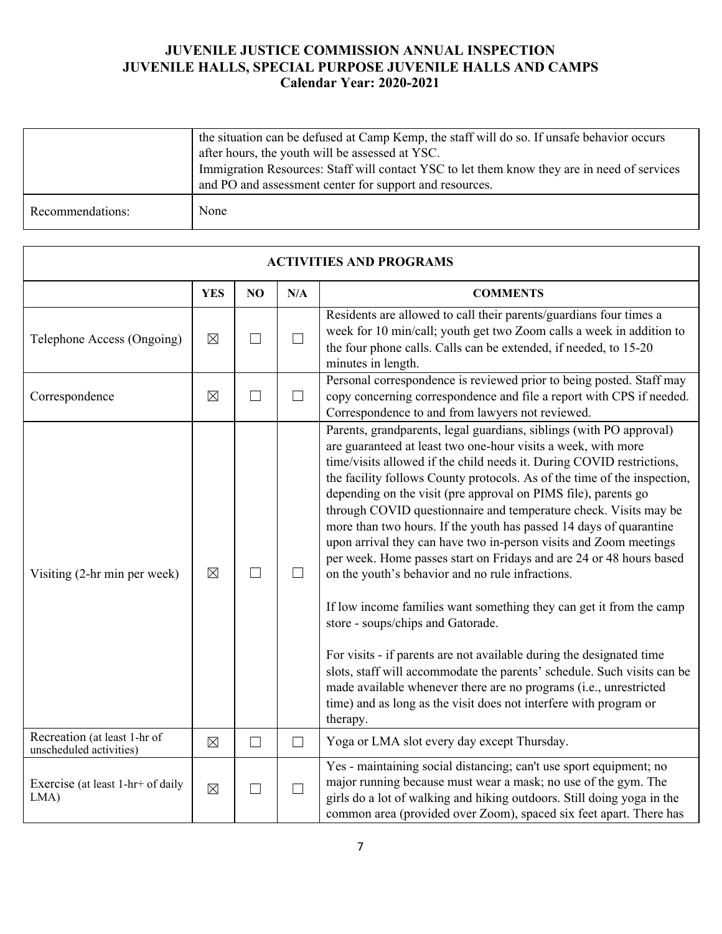|                  | the situation can be defused at Camp Kemp, the staff will do so. If unsafe behavior occurs<br>after hours, the youth will be assessed at YSC.<br>Immigration Resources: Staff will contact YSC to let them know they are in need of services<br>and PO and assessment center for support and resources. |
|------------------|---------------------------------------------------------------------------------------------------------------------------------------------------------------------------------------------------------------------------------------------------------------------------------------------------------|
| Recommendations: | None                                                                                                                                                                                                                                                                                                    |

| <b>ACTIVITIES AND PROGRAMS</b>                          |             |                   |        |                                                                                                                                                                                                                                                                                                                                                                                                                                                                                                                                                                                                                                                                                                                                                                                                                                                                                                                                                                                                                                                                                                                            |  |
|---------------------------------------------------------|-------------|-------------------|--------|----------------------------------------------------------------------------------------------------------------------------------------------------------------------------------------------------------------------------------------------------------------------------------------------------------------------------------------------------------------------------------------------------------------------------------------------------------------------------------------------------------------------------------------------------------------------------------------------------------------------------------------------------------------------------------------------------------------------------------------------------------------------------------------------------------------------------------------------------------------------------------------------------------------------------------------------------------------------------------------------------------------------------------------------------------------------------------------------------------------------------|--|
|                                                         | <b>YES</b>  | NO                | N/A    | <b>COMMENTS</b>                                                                                                                                                                                                                                                                                                                                                                                                                                                                                                                                                                                                                                                                                                                                                                                                                                                                                                                                                                                                                                                                                                            |  |
| Telephone Access (Ongoing)                              | $\boxtimes$ | $\Box$            | $\Box$ | Residents are allowed to call their parents/guardians four times a<br>week for 10 min/call; youth get two Zoom calls a week in addition to<br>the four phone calls. Calls can be extended, if needed, to 15-20<br>minutes in length.                                                                                                                                                                                                                                                                                                                                                                                                                                                                                                                                                                                                                                                                                                                                                                                                                                                                                       |  |
| Correspondence                                          | $\boxtimes$ | $\Box$            | $\Box$ | Personal correspondence is reviewed prior to being posted. Staff may<br>copy concerning correspondence and file a report with CPS if needed.<br>Correspondence to and from lawyers not reviewed.                                                                                                                                                                                                                                                                                                                                                                                                                                                                                                                                                                                                                                                                                                                                                                                                                                                                                                                           |  |
| Visiting (2-hr min per week)                            | $\boxtimes$ | $\Box$            | $\Box$ | Parents, grandparents, legal guardians, siblings (with PO approval)<br>are guaranteed at least two one-hour visits a week, with more<br>time/visits allowed if the child needs it. During COVID restrictions,<br>the facility follows County protocols. As of the time of the inspection,<br>depending on the visit (pre approval on PIMS file), parents go<br>through COVID questionnaire and temperature check. Visits may be<br>more than two hours. If the youth has passed 14 days of quarantine<br>upon arrival they can have two in-person visits and Zoom meetings<br>per week. Home passes start on Fridays and are 24 or 48 hours based<br>on the youth's behavior and no rule infractions.<br>If low income families want something they can get it from the camp<br>store - soups/chips and Gatorade.<br>For visits - if parents are not available during the designated time<br>slots, staff will accommodate the parents' schedule. Such visits can be<br>made available whenever there are no programs (i.e., unrestricted<br>time) and as long as the visit does not interfere with program or<br>therapy. |  |
| Recreation (at least 1-hr of<br>unscheduled activities) | $\boxtimes$ | $\vert \ \ \vert$ | $\Box$ | Yoga or LMA slot every day except Thursday.                                                                                                                                                                                                                                                                                                                                                                                                                                                                                                                                                                                                                                                                                                                                                                                                                                                                                                                                                                                                                                                                                |  |
| Exercise (at least 1-hr+ of daily<br>$LMA$ )            | $\boxtimes$ | $\Box$            | $\Box$ | Yes - maintaining social distancing; can't use sport equipment; no<br>major running because must wear a mask; no use of the gym. The<br>girls do a lot of walking and hiking outdoors. Still doing yoga in the<br>common area (provided over Zoom), spaced six feet apart. There has                                                                                                                                                                                                                                                                                                                                                                                                                                                                                                                                                                                                                                                                                                                                                                                                                                       |  |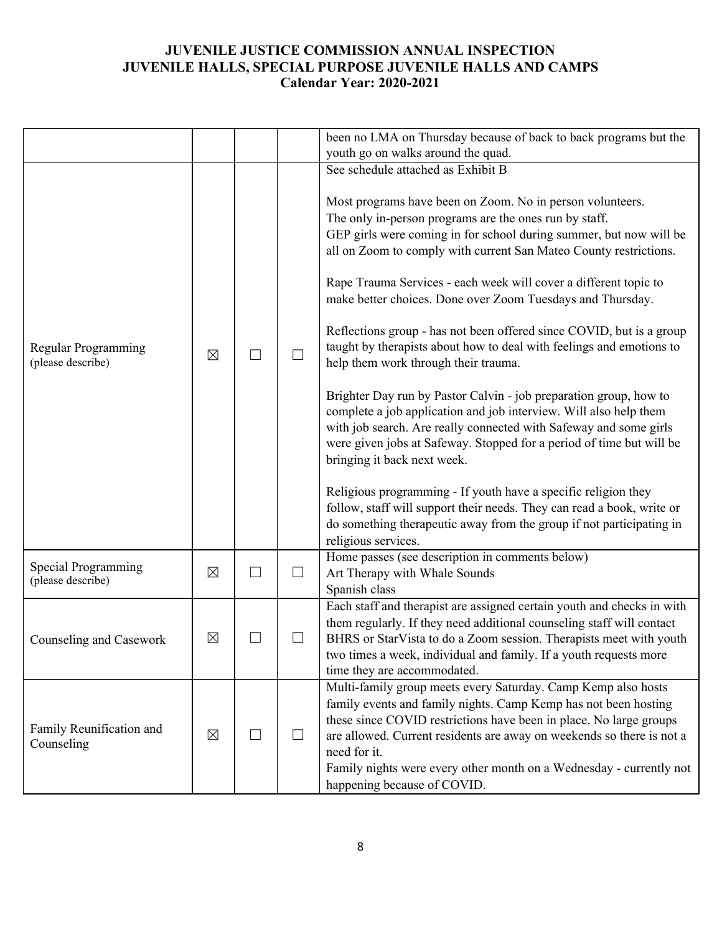|                                          |             |        | been no LMA on Thursday because of back to back programs but the                                                                                                                                                                                                                                                                                                                                                                                                                                                                                                                                                                                                                                                                                                                                                                                                                                                                                                                                                                                                                                                                                          |
|------------------------------------------|-------------|--------|-----------------------------------------------------------------------------------------------------------------------------------------------------------------------------------------------------------------------------------------------------------------------------------------------------------------------------------------------------------------------------------------------------------------------------------------------------------------------------------------------------------------------------------------------------------------------------------------------------------------------------------------------------------------------------------------------------------------------------------------------------------------------------------------------------------------------------------------------------------------------------------------------------------------------------------------------------------------------------------------------------------------------------------------------------------------------------------------------------------------------------------------------------------|
|                                          |             |        | youth go on walks around the quad.                                                                                                                                                                                                                                                                                                                                                                                                                                                                                                                                                                                                                                                                                                                                                                                                                                                                                                                                                                                                                                                                                                                        |
|                                          |             |        | See schedule attached as Exhibit B                                                                                                                                                                                                                                                                                                                                                                                                                                                                                                                                                                                                                                                                                                                                                                                                                                                                                                                                                                                                                                                                                                                        |
| Regular Programming<br>(please describe) | $\boxtimes$ |        | Most programs have been on Zoom. No in person volunteers.<br>The only in-person programs are the ones run by staff.<br>GEP girls were coming in for school during summer, but now will be<br>all on Zoom to comply with current San Mateo County restrictions.<br>Rape Trauma Services - each week will cover a different topic to<br>make better choices. Done over Zoom Tuesdays and Thursday.<br>Reflections group - has not been offered since COVID, but is a group<br>taught by therapists about how to deal with feelings and emotions to<br>help them work through their trauma.<br>Brighter Day run by Pastor Calvin - job preparation group, how to<br>complete a job application and job interview. Will also help them<br>with job search. Are really connected with Safeway and some girls<br>were given jobs at Safeway. Stopped for a period of time but will be<br>bringing it back next week.<br>Religious programming - If youth have a specific religion they<br>follow, staff will support their needs. They can read a book, write or<br>do something therapeutic away from the group if not participating in<br>religious services. |
| Special Programming<br>(please describe) | $\boxtimes$ | $\Box$ | Home passes (see description in comments below)<br>Art Therapy with Whale Sounds<br>Spanish class                                                                                                                                                                                                                                                                                                                                                                                                                                                                                                                                                                                                                                                                                                                                                                                                                                                                                                                                                                                                                                                         |
| Counseling and Casework                  | $\boxtimes$ |        | Each staff and therapist are assigned certain youth and checks in with<br>them regularly. If they need additional counseling staff will contact<br>BHRS or StarVista to do a Zoom session. Therapists meet with youth<br>two times a week, individual and family. If a youth requests more<br>time they are accommodated.                                                                                                                                                                                                                                                                                                                                                                                                                                                                                                                                                                                                                                                                                                                                                                                                                                 |
| Family Reunification and<br>Counseling   | $\boxtimes$ | $\Box$ | Multi-family group meets every Saturday. Camp Kemp also hosts<br>family events and family nights. Camp Kemp has not been hosting<br>these since COVID restrictions have been in place. No large groups<br>are allowed. Current residents are away on weekends so there is not a<br>need for it.<br>Family nights were every other month on a Wednesday - currently not<br>happening because of COVID.                                                                                                                                                                                                                                                                                                                                                                                                                                                                                                                                                                                                                                                                                                                                                     |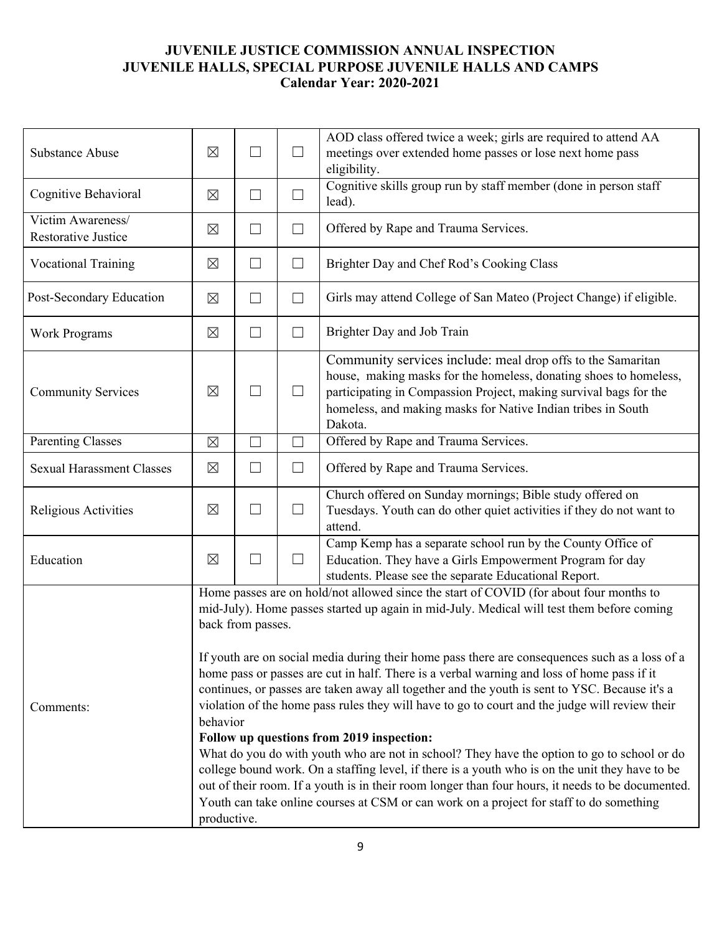| <b>Substance Abuse</b>                          | ⊠                                                                                                                                                                                                                                                                                                                                                                                                                                                                                                                                                                                                                                                                                                                                                                                                                                                                                                                                                                                                                                                                                     | $\Box$ | $\Box$ | AOD class offered twice a week; girls are required to attend AA<br>meetings over extended home passes or lose next home pass<br>eligibility.                                                                                                                                     |
|-------------------------------------------------|---------------------------------------------------------------------------------------------------------------------------------------------------------------------------------------------------------------------------------------------------------------------------------------------------------------------------------------------------------------------------------------------------------------------------------------------------------------------------------------------------------------------------------------------------------------------------------------------------------------------------------------------------------------------------------------------------------------------------------------------------------------------------------------------------------------------------------------------------------------------------------------------------------------------------------------------------------------------------------------------------------------------------------------------------------------------------------------|--------|--------|----------------------------------------------------------------------------------------------------------------------------------------------------------------------------------------------------------------------------------------------------------------------------------|
| Cognitive Behavioral                            | $\boxtimes$                                                                                                                                                                                                                                                                                                                                                                                                                                                                                                                                                                                                                                                                                                                                                                                                                                                                                                                                                                                                                                                                           | $\Box$ | $\Box$ | Cognitive skills group run by staff member (done in person staff<br>lead).                                                                                                                                                                                                       |
| Victim Awareness/<br><b>Restorative Justice</b> | $\boxtimes$                                                                                                                                                                                                                                                                                                                                                                                                                                                                                                                                                                                                                                                                                                                                                                                                                                                                                                                                                                                                                                                                           | $\Box$ | $\Box$ | Offered by Rape and Trauma Services.                                                                                                                                                                                                                                             |
| <b>Vocational Training</b>                      | $\boxtimes$                                                                                                                                                                                                                                                                                                                                                                                                                                                                                                                                                                                                                                                                                                                                                                                                                                                                                                                                                                                                                                                                           | $\Box$ | $\Box$ | Brighter Day and Chef Rod's Cooking Class                                                                                                                                                                                                                                        |
| Post-Secondary Education                        | $\boxtimes$                                                                                                                                                                                                                                                                                                                                                                                                                                                                                                                                                                                                                                                                                                                                                                                                                                                                                                                                                                                                                                                                           | $\Box$ | $\Box$ | Girls may attend College of San Mateo (Project Change) if eligible.                                                                                                                                                                                                              |
| <b>Work Programs</b>                            | $\boxtimes$                                                                                                                                                                                                                                                                                                                                                                                                                                                                                                                                                                                                                                                                                                                                                                                                                                                                                                                                                                                                                                                                           | ⊔      | $\Box$ | Brighter Day and Job Train                                                                                                                                                                                                                                                       |
| <b>Community Services</b>                       | ⊠                                                                                                                                                                                                                                                                                                                                                                                                                                                                                                                                                                                                                                                                                                                                                                                                                                                                                                                                                                                                                                                                                     | $\Box$ | $\Box$ | Community services include: meal drop offs to the Samaritan<br>house, making masks for the homeless, donating shoes to homeless,<br>participating in Compassion Project, making survival bags for the<br>homeless, and making masks for Native Indian tribes in South<br>Dakota. |
| <b>Parenting Classes</b>                        | $\boxtimes$                                                                                                                                                                                                                                                                                                                                                                                                                                                                                                                                                                                                                                                                                                                                                                                                                                                                                                                                                                                                                                                                           | $\Box$ | $\Box$ | Offered by Rape and Trauma Services.                                                                                                                                                                                                                                             |
| <b>Sexual Harassment Classes</b>                | $\boxtimes$                                                                                                                                                                                                                                                                                                                                                                                                                                                                                                                                                                                                                                                                                                                                                                                                                                                                                                                                                                                                                                                                           | $\Box$ | $\Box$ | Offered by Rape and Trauma Services.                                                                                                                                                                                                                                             |
| Religious Activities                            | $\boxtimes$                                                                                                                                                                                                                                                                                                                                                                                                                                                                                                                                                                                                                                                                                                                                                                                                                                                                                                                                                                                                                                                                           | $\Box$ | $\Box$ | Church offered on Sunday mornings; Bible study offered on<br>Tuesdays. Youth can do other quiet activities if they do not want to<br>attend.                                                                                                                                     |
| Education                                       | $\boxtimes$                                                                                                                                                                                                                                                                                                                                                                                                                                                                                                                                                                                                                                                                                                                                                                                                                                                                                                                                                                                                                                                                           | $\Box$ | $\Box$ | Camp Kemp has a separate school run by the County Office of<br>Education. They have a Girls Empowerment Program for day<br>students. Please see the separate Educational Report.                                                                                                 |
| Comments:                                       | Home passes are on hold/not allowed since the start of COVID (for about four months to<br>mid-July). Home passes started up again in mid-July. Medical will test them before coming<br>back from passes.<br>If youth are on social media during their home pass there are consequences such as a loss of a<br>home pass or passes are cut in half. There is a verbal warning and loss of home pass if it<br>continues, or passes are taken away all together and the youth is sent to YSC. Because it's a<br>violation of the home pass rules they will have to go to court and the judge will review their<br>behavior<br>Follow up questions from 2019 inspection:<br>What do you do with youth who are not in school? They have the option to go to school or do<br>college bound work. On a staffing level, if there is a youth who is on the unit they have to be<br>out of their room. If a youth is in their room longer than four hours, it needs to be documented.<br>Youth can take online courses at CSM or can work on a project for staff to do something<br>productive. |        |        |                                                                                                                                                                                                                                                                                  |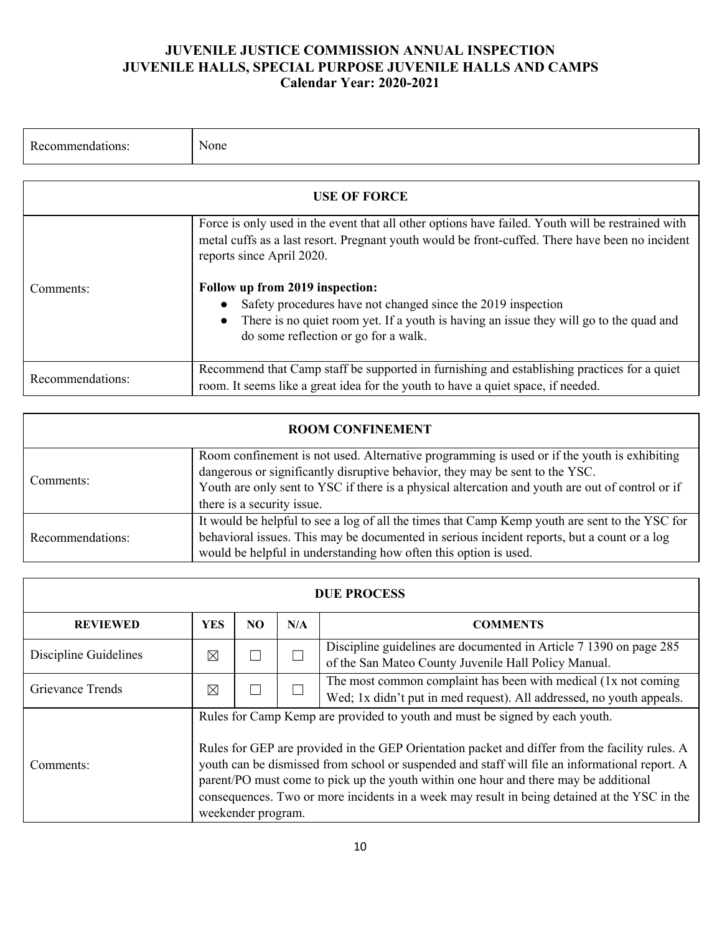| Recommendations: | None                                                                                                                                                                                                                              |
|------------------|-----------------------------------------------------------------------------------------------------------------------------------------------------------------------------------------------------------------------------------|
|                  |                                                                                                                                                                                                                                   |
|                  | <b>USE OF FORCE</b>                                                                                                                                                                                                               |
|                  | Force is only used in the event that all other options have failed. Youth will be restrained with<br>metal cuffs as a last resort. Pregnant youth would be front-cuffed. There have been no incident<br>reports since April 2020. |
| Comments:        | Follow up from 2019 inspection:<br>Safety procedures have not changed since the 2019 inspection<br>There is no quiet room yet. If a youth is having an issue they will go to the quad and<br>do some reflection or go for a walk. |
| Recommendations: | Recommend that Camp staff be supported in furnishing and establishing practices for a quiet<br>room. It seems like a great idea for the youth to have a quiet space, if needed.                                                   |

| <b>ROOM CONFINEMENT</b> |                                                                                                                                                                                                                                                                                                               |  |  |  |  |  |  |
|-------------------------|---------------------------------------------------------------------------------------------------------------------------------------------------------------------------------------------------------------------------------------------------------------------------------------------------------------|--|--|--|--|--|--|
| Comments:               | Room confinement is not used. Alternative programming is used or if the youth is exhibiting<br>dangerous or significantly disruptive behavior, they may be sent to the YSC.<br>Youth are only sent to YSC if there is a physical altercation and youth are out of control or if<br>there is a security issue. |  |  |  |  |  |  |
| Recommendations:        | It would be helpful to see a log of all the times that Camp Kemp youth are sent to the YSC for<br>behavioral issues. This may be documented in serious incident reports, but a count or a log<br>would be helpful in understanding how often this option is used.                                             |  |  |  |  |  |  |

| <b>DUE PROCESS</b>    |                                                                                                                                                                                                                                                                                                                                                                                                                                                                                               |    |     |                                                                                                                                        |
|-----------------------|-----------------------------------------------------------------------------------------------------------------------------------------------------------------------------------------------------------------------------------------------------------------------------------------------------------------------------------------------------------------------------------------------------------------------------------------------------------------------------------------------|----|-----|----------------------------------------------------------------------------------------------------------------------------------------|
| <b>REVIEWED</b>       | <b>YES</b>                                                                                                                                                                                                                                                                                                                                                                                                                                                                                    | NO | N/A | <b>COMMENTS</b>                                                                                                                        |
| Discipline Guidelines | ⊠                                                                                                                                                                                                                                                                                                                                                                                                                                                                                             |    | П   | Discipline guidelines are documented in Article 7 1390 on page 285<br>of the San Mateo County Juvenile Hall Policy Manual.             |
| Grievance Trends      | ⊠                                                                                                                                                                                                                                                                                                                                                                                                                                                                                             |    | П   | The most common complaint has been with medical (1x not coming<br>Wed; 1x didn't put in med request). All addressed, no youth appeals. |
| Comments:             | Rules for Camp Kemp are provided to youth and must be signed by each youth.<br>Rules for GEP are provided in the GEP Orientation packet and differ from the facility rules. A<br>youth can be dismissed from school or suspended and staff will file an informational report. A<br>parent/PO must come to pick up the youth within one hour and there may be additional<br>consequences. Two or more incidents in a week may result in being detained at the YSC in the<br>weekender program. |    |     |                                                                                                                                        |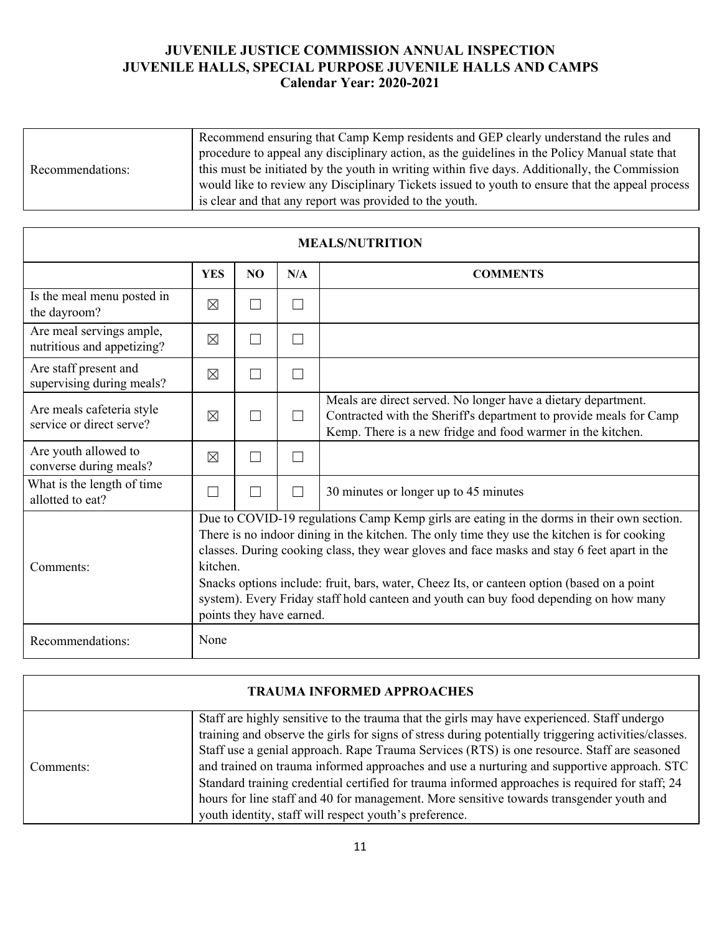|                  | Recommend ensuring that Camp Kemp residents and GEP clearly understand the rules and            |
|------------------|-------------------------------------------------------------------------------------------------|
|                  | procedure to appeal any disciplinary action, as the guidelines in the Policy Manual state that  |
| Recommendations: | this must be initiated by the youth in writing within five days. Additionally, the Commission   |
|                  | would like to review any Disciplinary Tickets issued to youth to ensure that the appeal process |
|                  | is clear and that any report was provided to the youth.                                         |

| <b>MEALS/NUTRITION</b>                                 |             |                                                                                                                                                                                                                                                                                                                                                                                                                                                                                                                        |                   |                                                                                                                                                                                                    |  |
|--------------------------------------------------------|-------------|------------------------------------------------------------------------------------------------------------------------------------------------------------------------------------------------------------------------------------------------------------------------------------------------------------------------------------------------------------------------------------------------------------------------------------------------------------------------------------------------------------------------|-------------------|----------------------------------------------------------------------------------------------------------------------------------------------------------------------------------------------------|--|
|                                                        | <b>YES</b>  | NO.                                                                                                                                                                                                                                                                                                                                                                                                                                                                                                                    | N/A               | <b>COMMENTS</b>                                                                                                                                                                                    |  |
| Is the meal menu posted in<br>the dayroom?             | $\times$    | H                                                                                                                                                                                                                                                                                                                                                                                                                                                                                                                      | $\vert \ \ \vert$ |                                                                                                                                                                                                    |  |
| Are meal servings ample,<br>nutritious and appetizing? | $\times$    | П                                                                                                                                                                                                                                                                                                                                                                                                                                                                                                                      | $\vert \ \ \vert$ |                                                                                                                                                                                                    |  |
| Are staff present and<br>supervising during meals?     | $\times$    | П                                                                                                                                                                                                                                                                                                                                                                                                                                                                                                                      | $\Box$            |                                                                                                                                                                                                    |  |
| Are meals cafeteria style<br>service or direct serve?  | $\times$    |                                                                                                                                                                                                                                                                                                                                                                                                                                                                                                                        | $\vert \ \ \vert$ | Meals are direct served. No longer have a dietary department.<br>Contracted with the Sheriff's department to provide meals for Camp<br>Kemp. There is a new fridge and food warmer in the kitchen. |  |
| Are youth allowed to<br>converse during meals?         | $\boxtimes$ | П                                                                                                                                                                                                                                                                                                                                                                                                                                                                                                                      | $\Box$            |                                                                                                                                                                                                    |  |
| What is the length of time<br>allotted to eat?         |             |                                                                                                                                                                                                                                                                                                                                                                                                                                                                                                                        | $\Box$            | 30 minutes or longer up to 45 minutes                                                                                                                                                              |  |
| Comments:                                              |             | Due to COVID-19 regulations Camp Kemp girls are eating in the dorms in their own section.<br>There is no indoor dining in the kitchen. The only time they use the kitchen is for cooking<br>classes. During cooking class, they wear gloves and face masks and stay 6 feet apart in the<br>kitchen.<br>Snacks options include: fruit, bars, water, Cheez Its, or canteen option (based on a point<br>system). Every Friday staff hold canteen and youth can buy food depending on how many<br>points they have earned. |                   |                                                                                                                                                                                                    |  |
| Recommendations:                                       | None        |                                                                                                                                                                                                                                                                                                                                                                                                                                                                                                                        |                   |                                                                                                                                                                                                    |  |

| <b>TRAUMA INFORMED APPROACHES</b> |                                                                                                                                                                                                                                                                                                                                                                                                                                                                                                                                                                                                                                                           |  |  |  |  |  |
|-----------------------------------|-----------------------------------------------------------------------------------------------------------------------------------------------------------------------------------------------------------------------------------------------------------------------------------------------------------------------------------------------------------------------------------------------------------------------------------------------------------------------------------------------------------------------------------------------------------------------------------------------------------------------------------------------------------|--|--|--|--|--|
| Comments:                         | Staff are highly sensitive to the trauma that the girls may have experienced. Staff undergo<br>training and observe the girls for signs of stress during potentially triggering activities/classes.<br>Staff use a genial approach. Rape Trauma Services (RTS) is one resource. Staff are seasoned<br>and trained on trauma informed approaches and use a nurturing and supportive approach. STC<br>Standard training credential certified for trauma informed approaches is required for staff; 24<br>hours for line staff and 40 for management. More sensitive towards transgender youth and<br>youth identity, staff will respect youth's preference. |  |  |  |  |  |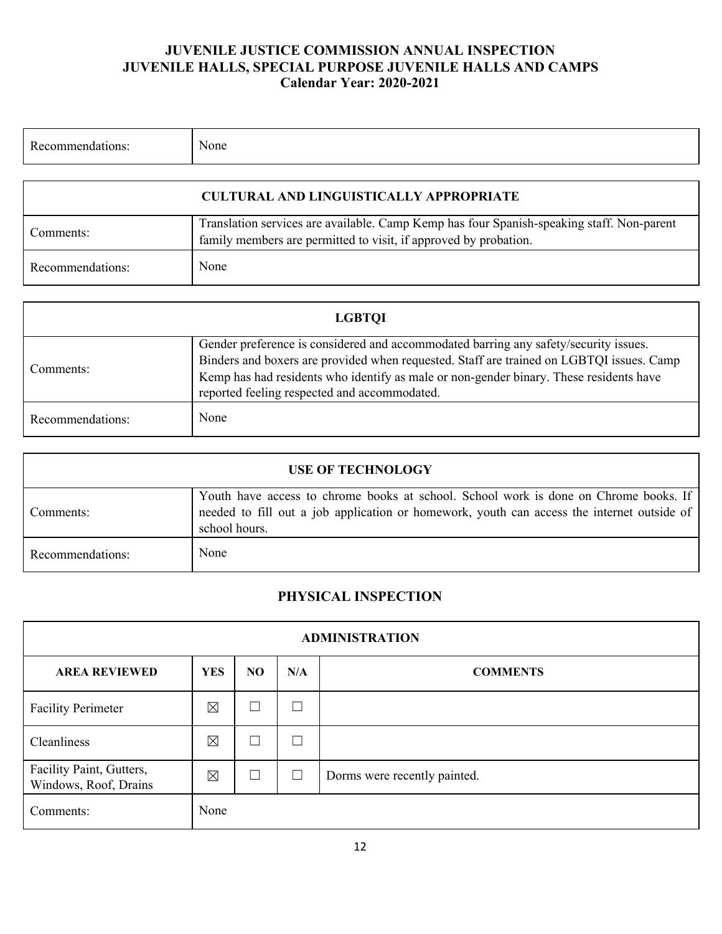| Recommendations: | None                                           |
|------------------|------------------------------------------------|
|                  | <b>CULTURAL AND LINGUISTICALLY APPROPRIATE</b> |

| Comments:        | Translation services are available. Camp Kemp has four Spanish-speaking staff. Non-parent<br>family members are permitted to visit, if approved by probation. |
|------------------|---------------------------------------------------------------------------------------------------------------------------------------------------------------|
| Recommendations: | None                                                                                                                                                          |

| <b>LGBTOI</b>    |                                                                                                                                                                                                                                                                                                                            |  |  |  |  |  |
|------------------|----------------------------------------------------------------------------------------------------------------------------------------------------------------------------------------------------------------------------------------------------------------------------------------------------------------------------|--|--|--|--|--|
| Comments:        | Gender preference is considered and accommodated barring any safety/security issues.<br>Binders and boxers are provided when requested. Staff are trained on LGBTQI issues. Camp<br>Kemp has had residents who identify as male or non-gender binary. These residents have<br>reported feeling respected and accommodated. |  |  |  |  |  |
| Recommendations: | None                                                                                                                                                                                                                                                                                                                       |  |  |  |  |  |

| <b>USE OF TECHNOLOGY</b> |                                                                                                                                                                                                     |  |  |  |  |  |
|--------------------------|-----------------------------------------------------------------------------------------------------------------------------------------------------------------------------------------------------|--|--|--|--|--|
| Comments:                | Youth have access to chrome books at school. School work is done on Chrome books. If<br>needed to fill out a job application or homework, youth can access the internet outside of<br>school hours. |  |  |  |  |  |
| Recommendations:         | None                                                                                                                                                                                                |  |  |  |  |  |

# **PHYSICAL INSPECTION**

| <b>ADMINISTRATION</b>                             |             |                |        |                              |  |  |  |  |
|---------------------------------------------------|-------------|----------------|--------|------------------------------|--|--|--|--|
| <b>AREA REVIEWED</b>                              | <b>YES</b>  | N <sub>O</sub> | N/A    | <b>COMMENTS</b>              |  |  |  |  |
| <b>Facility Perimeter</b>                         | ⊠           | $\Box$         | $\Box$ |                              |  |  |  |  |
| Cleanliness                                       | $\boxtimes$ | $\Box$         | $\sim$ |                              |  |  |  |  |
| Facility Paint, Gutters,<br>Windows, Roof, Drains | ⊠           | $\Box$         | $\Box$ | Dorms were recently painted. |  |  |  |  |
| Comments:                                         | None        |                |        |                              |  |  |  |  |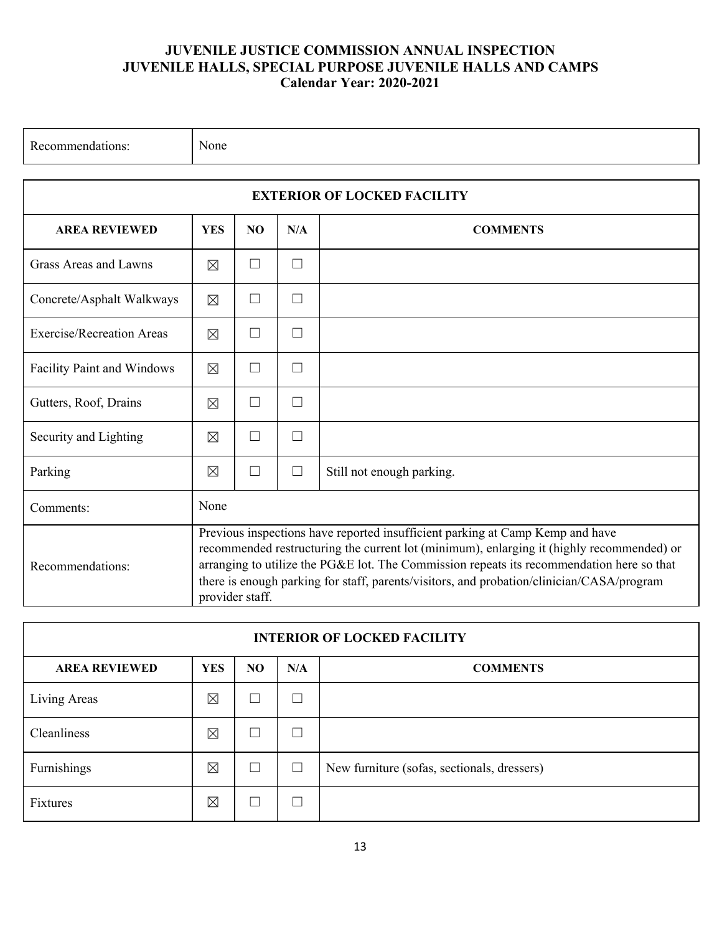| Recommendations:                   | None                                                                                                                                                                                                                                                                                                                                                                                    |                              |        |                           |  |  |  |  |  |  |
|------------------------------------|-----------------------------------------------------------------------------------------------------------------------------------------------------------------------------------------------------------------------------------------------------------------------------------------------------------------------------------------------------------------------------------------|------------------------------|--------|---------------------------|--|--|--|--|--|--|
| <b>EXTERIOR OF LOCKED FACILITY</b> |                                                                                                                                                                                                                                                                                                                                                                                         |                              |        |                           |  |  |  |  |  |  |
| <b>AREA REVIEWED</b>               | <b>YES</b>                                                                                                                                                                                                                                                                                                                                                                              | NO<br>N/A<br><b>COMMENTS</b> |        |                           |  |  |  |  |  |  |
| Grass Areas and Lawns              | $\boxtimes$                                                                                                                                                                                                                                                                                                                                                                             | П                            | $\Box$ |                           |  |  |  |  |  |  |
| Concrete/Asphalt Walkways          | $\boxtimes$                                                                                                                                                                                                                                                                                                                                                                             | $\Box$                       | $\Box$ |                           |  |  |  |  |  |  |
| <b>Exercise/Recreation Areas</b>   | $\boxtimes$                                                                                                                                                                                                                                                                                                                                                                             | П                            | $\Box$ |                           |  |  |  |  |  |  |
| Facility Paint and Windows         | $\boxtimes$                                                                                                                                                                                                                                                                                                                                                                             | П                            | П      |                           |  |  |  |  |  |  |
| Gutters, Roof, Drains              | $\boxtimes$                                                                                                                                                                                                                                                                                                                                                                             | П                            | П      |                           |  |  |  |  |  |  |
| Security and Lighting              | $\boxtimes$                                                                                                                                                                                                                                                                                                                                                                             | П                            | П      |                           |  |  |  |  |  |  |
| Parking                            | $\boxtimes$                                                                                                                                                                                                                                                                                                                                                                             | $\Box$                       | П      | Still not enough parking. |  |  |  |  |  |  |
| Comments:                          | None                                                                                                                                                                                                                                                                                                                                                                                    |                              |        |                           |  |  |  |  |  |  |
| Recommendations:                   | Previous inspections have reported insufficient parking at Camp Kemp and have<br>recommended restructuring the current lot (minimum), enlarging it (highly recommended) or<br>arranging to utilize the PG&E lot. The Commission repeats its recommendation here so that<br>there is enough parking for staff, parents/visitors, and probation/clinician/CASA/program<br>provider staff. |                              |        |                           |  |  |  |  |  |  |

| <b>INTERIOR OF LOCKED FACILITY</b>                                             |             |        |        |                                             |  |  |  |  |
|--------------------------------------------------------------------------------|-------------|--------|--------|---------------------------------------------|--|--|--|--|
| N <sub>O</sub><br><b>AREA REVIEWED</b><br><b>YES</b><br>N/A<br><b>COMMENTS</b> |             |        |        |                                             |  |  |  |  |
| Living Areas                                                                   | $\boxtimes$ | $\Box$ |        |                                             |  |  |  |  |
| Cleanliness                                                                    | ⊠           | $\Box$ | ×      |                                             |  |  |  |  |
| Furnishings                                                                    | ⊠           | $\Box$ | $\Box$ | New furniture (sofas, sectionals, dressers) |  |  |  |  |
| Fixtures                                                                       | ⊠           | $\Box$ | J.     |                                             |  |  |  |  |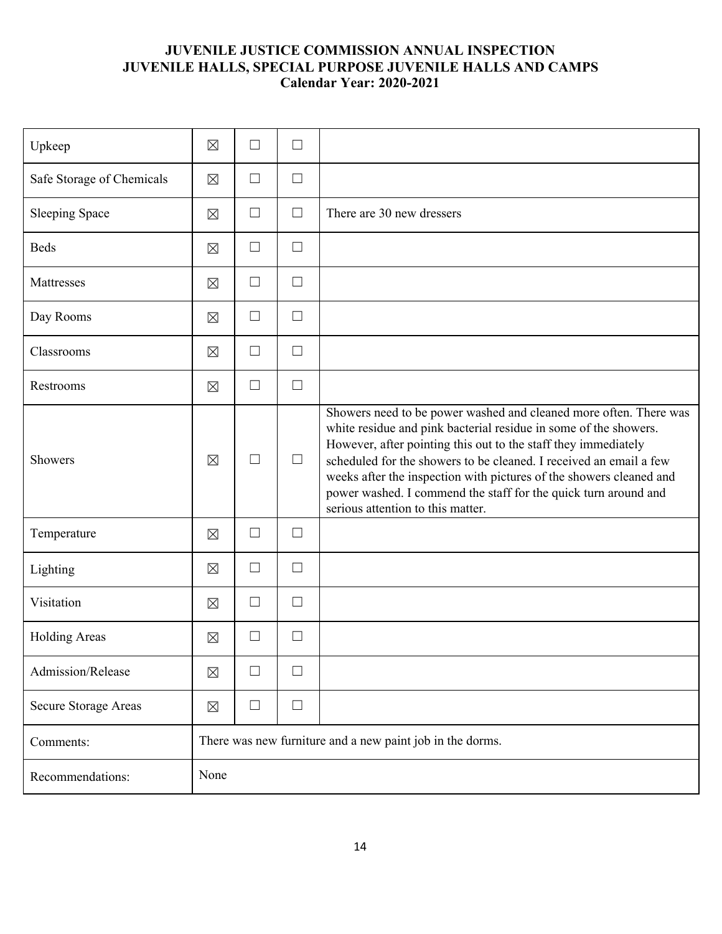| Upkeep                    | $\boxtimes$                                               | $\Box$ | $\Box$ |                                                                                                                                                                                                                                                                                                                                                                                                                                                              |  |  |
|---------------------------|-----------------------------------------------------------|--------|--------|--------------------------------------------------------------------------------------------------------------------------------------------------------------------------------------------------------------------------------------------------------------------------------------------------------------------------------------------------------------------------------------------------------------------------------------------------------------|--|--|
| Safe Storage of Chemicals | $\boxtimes$                                               | $\Box$ | $\Box$ |                                                                                                                                                                                                                                                                                                                                                                                                                                                              |  |  |
| <b>Sleeping Space</b>     | $\boxtimes$                                               | $\Box$ | $\Box$ | There are 30 new dressers                                                                                                                                                                                                                                                                                                                                                                                                                                    |  |  |
| <b>Beds</b>               | $\boxtimes$                                               | $\Box$ | $\Box$ |                                                                                                                                                                                                                                                                                                                                                                                                                                                              |  |  |
| Mattresses                | $\boxtimes$                                               | $\Box$ | $\Box$ |                                                                                                                                                                                                                                                                                                                                                                                                                                                              |  |  |
| Day Rooms                 | $\boxtimes$                                               | $\Box$ | $\Box$ |                                                                                                                                                                                                                                                                                                                                                                                                                                                              |  |  |
| Classrooms                | $\boxtimes$                                               | $\Box$ | $\Box$ |                                                                                                                                                                                                                                                                                                                                                                                                                                                              |  |  |
| Restrooms                 | $\boxtimes$                                               | $\Box$ | $\Box$ |                                                                                                                                                                                                                                                                                                                                                                                                                                                              |  |  |
| Showers                   | $\boxtimes$                                               | $\Box$ | $\Box$ | Showers need to be power washed and cleaned more often. There was<br>white residue and pink bacterial residue in some of the showers.<br>However, after pointing this out to the staff they immediately<br>scheduled for the showers to be cleaned. I received an email a few<br>weeks after the inspection with pictures of the showers cleaned and<br>power washed. I commend the staff for the quick turn around and<br>serious attention to this matter. |  |  |
| Temperature               | $\boxtimes$                                               | $\Box$ | $\Box$ |                                                                                                                                                                                                                                                                                                                                                                                                                                                              |  |  |
| Lighting                  | $\boxtimes$                                               | $\Box$ | $\Box$ |                                                                                                                                                                                                                                                                                                                                                                                                                                                              |  |  |
| Visitation                | $\boxtimes$                                               | $\Box$ | $\Box$ |                                                                                                                                                                                                                                                                                                                                                                                                                                                              |  |  |
| <b>Holding Areas</b>      | $\boxtimes$                                               | $\Box$ | $\Box$ |                                                                                                                                                                                                                                                                                                                                                                                                                                                              |  |  |
| Admission/Release         | $\boxtimes$                                               | $\Box$ | $\Box$ |                                                                                                                                                                                                                                                                                                                                                                                                                                                              |  |  |
| Secure Storage Areas      | $\boxtimes$                                               | $\Box$ | $\Box$ |                                                                                                                                                                                                                                                                                                                                                                                                                                                              |  |  |
| Comments:                 | There was new furniture and a new paint job in the dorms. |        |        |                                                                                                                                                                                                                                                                                                                                                                                                                                                              |  |  |
| Recommendations:          | None                                                      |        |        |                                                                                                                                                                                                                                                                                                                                                                                                                                                              |  |  |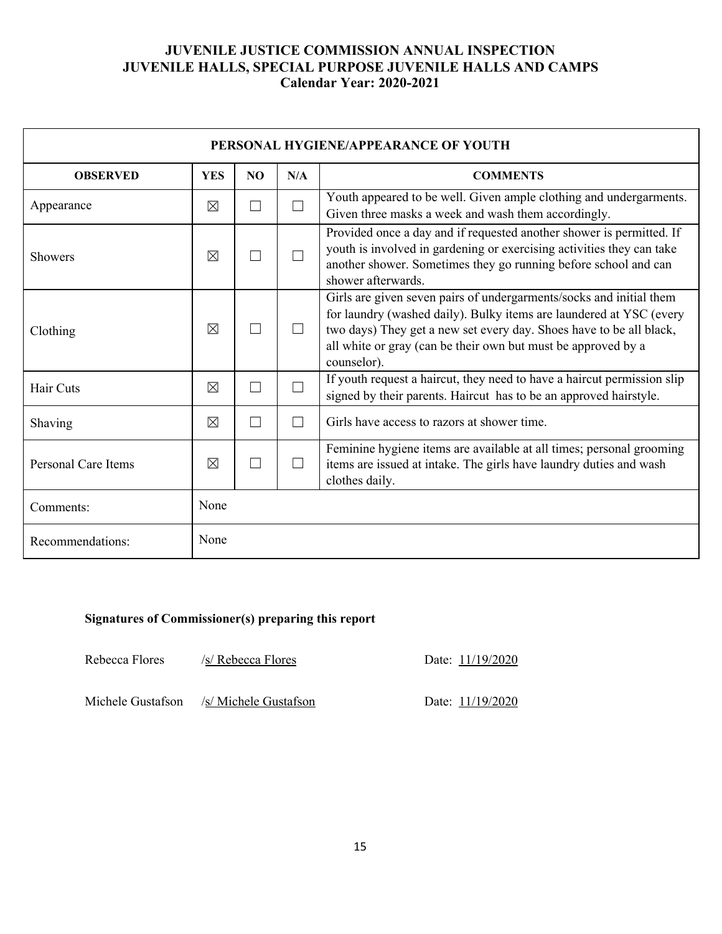| PERSONAL HYGIENE/APPEARANCE OF YOUTH |                                                         |  |                |                                                                                                                                                                                                                                                                                                   |  |  |  |  |
|--------------------------------------|---------------------------------------------------------|--|----------------|---------------------------------------------------------------------------------------------------------------------------------------------------------------------------------------------------------------------------------------------------------------------------------------------------|--|--|--|--|
| <b>OBSERVED</b>                      | <b>YES</b><br>N/A<br><b>COMMENTS</b><br>NO <sub>1</sub> |  |                |                                                                                                                                                                                                                                                                                                   |  |  |  |  |
| Appearance                           | $\times$                                                |  | ٦              | Youth appeared to be well. Given ample clothing and undergarments.<br>Given three masks a week and wash them accordingly.                                                                                                                                                                         |  |  |  |  |
| <b>Showers</b>                       | $\times$                                                |  |                | Provided once a day and if requested another shower is permitted. If<br>youth is involved in gardening or exercising activities they can take<br>another shower. Sometimes they go running before school and can<br>shower afterwards.                                                            |  |  |  |  |
| Clothing                             | $\times$                                                |  |                | Girls are given seven pairs of undergarments/socks and initial them<br>for laundry (washed daily). Bulky items are laundered at YSC (every<br>two days) They get a new set every day. Shoes have to be all black,<br>all white or gray (can be their own but must be approved by a<br>counselor). |  |  |  |  |
| Hair Cuts                            | $\times$                                                |  | $\Box$         | If youth request a haircut, they need to have a haircut permission slip<br>signed by their parents. Haircut has to be an approved hairstyle.                                                                                                                                                      |  |  |  |  |
| Shaving                              | $\times$                                                |  | $\Box$         | Girls have access to razors at shower time.                                                                                                                                                                                                                                                       |  |  |  |  |
| <b>Personal Care Items</b>           | $\times$                                                |  | $\blacksquare$ | Feminine hygiene items are available at all times; personal grooming<br>items are issued at intake. The girls have laundry duties and wash<br>clothes daily.                                                                                                                                      |  |  |  |  |
| Comments:                            | None                                                    |  |                |                                                                                                                                                                                                                                                                                                   |  |  |  |  |
| Recommendations:                     | None                                                    |  |                |                                                                                                                                                                                                                                                                                                   |  |  |  |  |

#### **Signatures of Commissioner(s) preparing this report**

Rebecca Flores /s/ Rebecca Flores Date: 11/19/2020

Michele Gustafson /s/ Michele Gustafson Date: 11/19/2020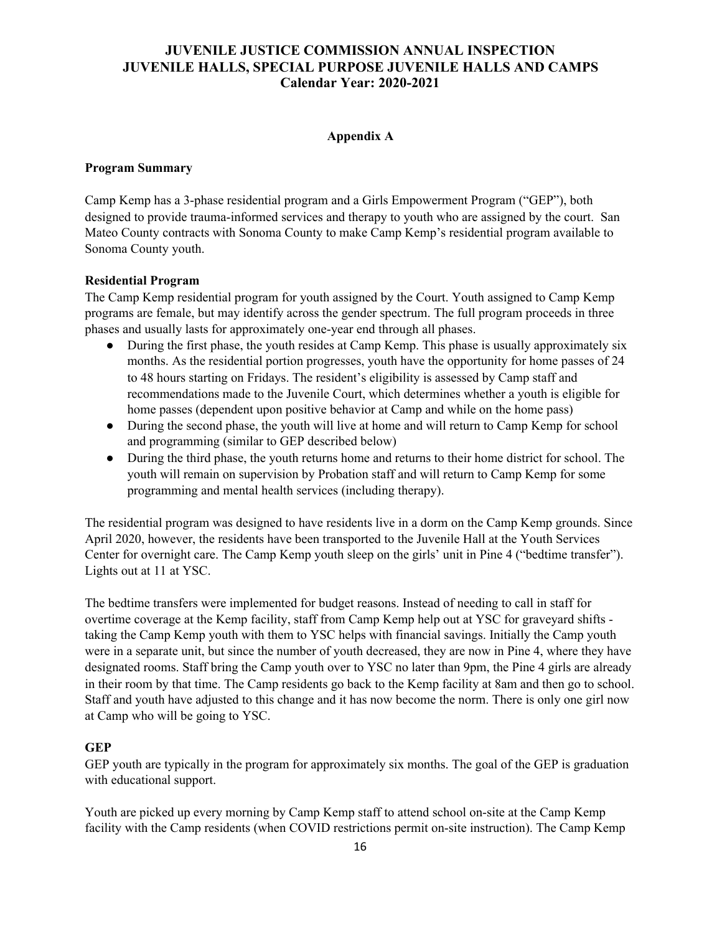#### **Appendix A**

#### **Program Summary**

Camp Kemp has a 3-phase residential program and a Girls Empowerment Program ("GEP"), both designed to provide trauma-informed services and therapy to youth who are assigned by the court. San Mateo County contracts with Sonoma County to make Camp Kemp's residential program available to Sonoma County youth.

#### **Residential Program**

The Camp Kemp residential program for youth assigned by the Court. Youth assigned to Camp Kemp programs are female, but may identify across the gender spectrum. The full program proceeds in three phases and usually lasts for approximately one-year end through all phases.

- During the first phase, the youth resides at Camp Kemp. This phase is usually approximately six months. As the residential portion progresses, youth have the opportunity for home passes of 24 to 48 hours starting on Fridays. The resident's eligibility is assessed by Camp staff and recommendations made to the Juvenile Court, which determines whether a youth is eligible for home passes (dependent upon positive behavior at Camp and while on the home pass)
- During the second phase, the youth will live at home and will return to Camp Kemp for school and programming (similar to GEP described below)
- During the third phase, the youth returns home and returns to their home district for school. The youth will remain on supervision by Probation staff and will return to Camp Kemp for some programming and mental health services (including therapy).

The residential program was designed to have residents live in a dorm on the Camp Kemp grounds. Since April 2020, however, the residents have been transported to the Juvenile Hall at the Youth Services Center for overnight care. The Camp Kemp youth sleep on the girls' unit in Pine 4 ("bedtime transfer"). Lights out at 11 at YSC.

The bedtime transfers were implemented for budget reasons. Instead of needing to call in staff for overtime coverage at the Kemp facility, staff from Camp Kemp help out at YSC for graveyard shifts taking the Camp Kemp youth with them to YSC helps with financial savings. Initially the Camp youth were in a separate unit, but since the number of youth decreased, they are now in Pine 4, where they have designated rooms. Staff bring the Camp youth over to YSC no later than 9pm, the Pine 4 girls are already in their room by that time. The Camp residents go back to the Kemp facility at 8am and then go to school. Staff and youth have adjusted to this change and it has now become the norm. There is only one girl now at Camp who will be going to YSC.

#### **GEP**

GEP youth are typically in the program for approximately six months. The goal of the GEP is graduation with educational support.

Youth are picked up every morning by Camp Kemp staff to attend school on-site at the Camp Kemp facility with the Camp residents (when COVID restrictions permit on-site instruction). The Camp Kemp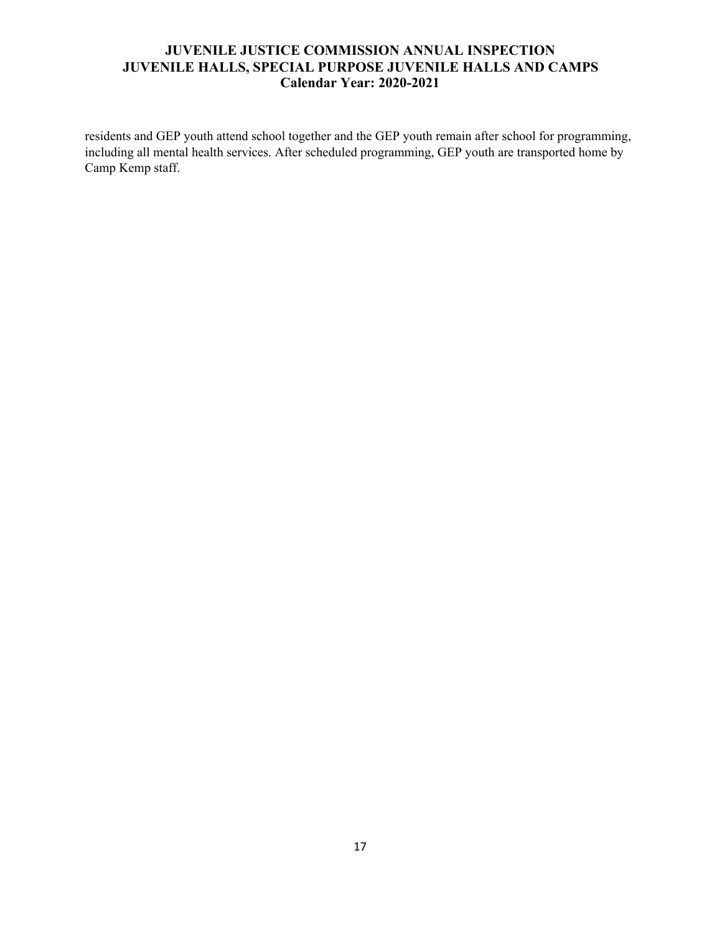residents and GEP youth attend school together and the GEP youth remain after school for programming, including all mental health services. After scheduled programming, GEP youth are transported home by Camp Kemp staff.